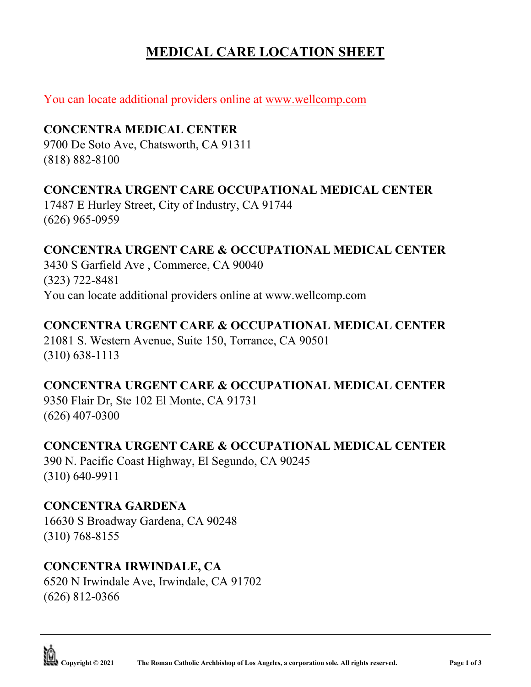# **MEDICAL CARE LOCATION SHEET**

# You can locate additional providers online at [www.wellcomp.com](http://www.wellcomp.com/)

# **CONCENTRA MEDICAL CENTER**

9700 De Soto Ave, Chatsworth, CA 91311 (818) 882-8100

## **CONCENTRA URGENT CARE OCCUPATIONAL MEDICAL CENTER**

17487 E Hurley Street, City of Industry, CA 91744 (626) 965-0959

## **CONCENTRA URGENT CARE & OCCUPATIONAL MEDICAL CENTER**

3430 S Garfield Ave , Commerce, CA 90040 (323) 722-8481 You can locate additional providers online at www.wellcomp.com

#### **CONCENTRA URGENT CARE & OCCUPATIONAL MEDICAL CENTER**

21081 S. Western Avenue, Suite 150, Torrance, CA 90501 (310) 638-1113

# **CONCENTRA URGENT CARE & OCCUPATIONAL MEDICAL CENTER**

9350 Flair Dr, Ste 102 El Monte, CA 91731 (626) 407-0300

#### **CONCENTRA URGENT CARE & OCCUPATIONAL MEDICAL CENTER**

390 N. Pacific Coast Highway, El Segundo, CA 90245 (310) 640-9911

#### **CONCENTRA GARDENA**

16630 S Broadway Gardena, CA 90248 (310) 768-8155

# **CONCENTRA IRWINDALE, CA**

6520 N Irwindale Ave, Irwindale, CA 91702 (626) 812-0366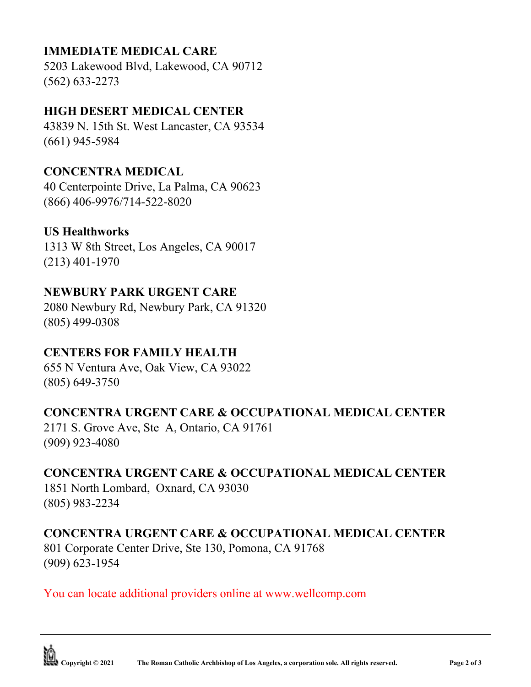# **IMMEDIATE MEDICAL CARE**

5203 Lakewood Blvd, Lakewood, CA 90712 (562) 633-2273

## **HIGH DESERT MEDICAL CENTER**

43839 N. 15th St. West Lancaster, CA 93534 (661) 945-5984

#### **CONCENTRA MEDICAL**

40 Centerpointe Drive, La Palma, CA 90623 (866) 406-9976/714-522-8020

#### **US Healthworks**

1313 W 8th Street, Los Angeles, CA 90017 (213) 401-1970

## **NEWBURY PARK URGENT CARE**

2080 Newbury Rd, Newbury Park, CA 91320 (805) 499-0308

# **CENTERS FOR FAMILY HEALTH**

655 N Ventura Ave, Oak View, CA 93022 (805) 649-3750

#### **CONCENTRA URGENT CARE & OCCUPATIONAL MEDICAL CENTER**

2171 S. Grove Ave, Ste A, Ontario, CA 91761 (909) 923-4080

#### **CONCENTRA URGENT CARE & OCCUPATIONAL MEDICAL CENTER**

1851 North Lombard, Oxnard, CA 93030 (805) 983-2234

#### **CONCENTRA URGENT CARE & OCCUPATIONAL MEDICAL CENTER**

801 Corporate Center Drive, Ste 130, Pomona, CA 91768 (909) 623-1954

You can locate additional providers online at www.wellcomp.com